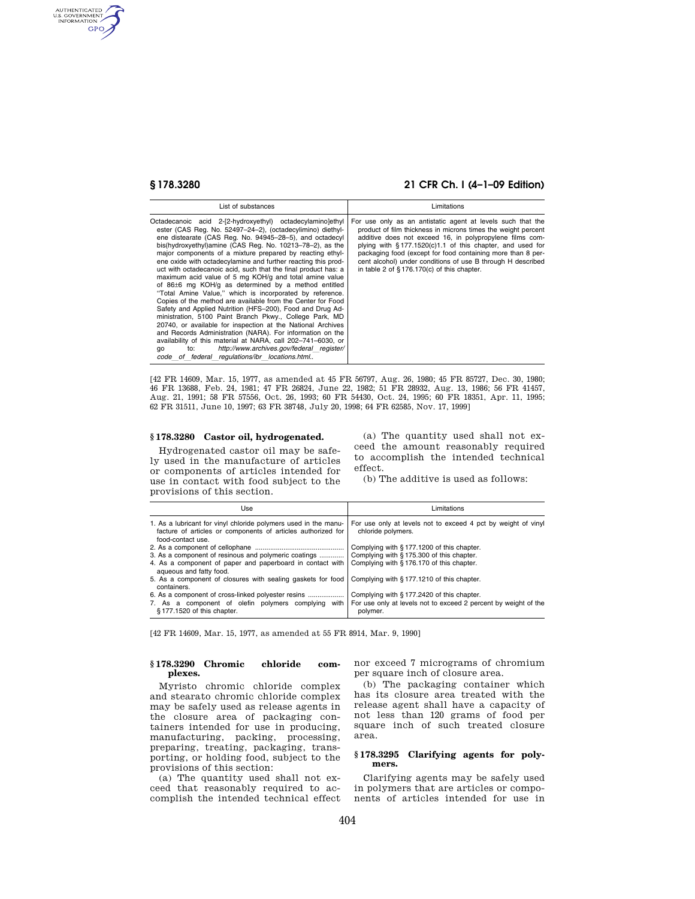AUTHENTICATED<br>U.S. GOVERNMENT<br>INFORMATION **GPO** 

# **§ 178.3280 21 CFR Ch. I (4–1–09 Edition)**

| List of substances                                                                                                                                                                                                                                                                                                                                                                                                                                                                                                                                                                                                                                                                                                                                                                                                                                                                                                                                                                                                                                                                                                             | Limitations                                                                                                                                                                                                                                                                                                                                                                                                                             |
|--------------------------------------------------------------------------------------------------------------------------------------------------------------------------------------------------------------------------------------------------------------------------------------------------------------------------------------------------------------------------------------------------------------------------------------------------------------------------------------------------------------------------------------------------------------------------------------------------------------------------------------------------------------------------------------------------------------------------------------------------------------------------------------------------------------------------------------------------------------------------------------------------------------------------------------------------------------------------------------------------------------------------------------------------------------------------------------------------------------------------------|-----------------------------------------------------------------------------------------------------------------------------------------------------------------------------------------------------------------------------------------------------------------------------------------------------------------------------------------------------------------------------------------------------------------------------------------|
| Octadecanoic acid 2-[2-hydroxyethyl) octadecylamino]ethyl<br>ester (CAS Reg. No. 52497-24-2), (octadecylimino) diethyl-<br>ene distearate (CAS Reg. No. 94945-28-5), and octadecyl<br>bis(hydroxyethyl)amine (CAS Reg. No. 10213-78-2), as the<br>major components of a mixture prepared by reacting ethyl-<br>ene oxide with octadecylamine and further reacting this prod-<br>uct with octadecanoic acid, such that the final product has: a<br>maximum acid value of 5 mg KOH/g and total amine value<br>of $86\pm6$ mg KOH/g as determined by a method entitled<br>"Total Amine Value," which is incorporated by reference.<br>Copies of the method are available from the Center for Food<br>Safety and Applied Nutrition (HFS-200). Food and Drug Ad-<br>ministration, 5100 Paint Branch Pkwy., College Park, MD<br>20740, or available for inspection at the National Archives<br>and Records Administration (NARA). For information on the<br>availability of this material at NARA, call 202-741-6030, or<br>http://www.archives.gov/federal register/<br>to:<br>qo<br>code of federal regulations/ibr locations.html | For use only as an antistatic agent at levels such that the<br>product of film thickness in microns times the weight percent<br>additive does not exceed 16, in polypropylene films com-<br>plying with $§ 177.1520(c)1.1$ of this chapter, and used for<br>packaging food (except for food containing more than 8 per-<br>cent alcohol) under conditions of use B through H described<br>in table 2 of $§$ 176.170(c) of this chapter. |

[42 FR 14609, Mar. 15, 1977, as amended at 45 FR 56797, Aug. 26, 1980; 45 FR 85727, Dec. 30, 1980; 46 FR 13688, Feb. 24, 1981; 47 FR 26824, June 22, 1982; 51 FR 28932, Aug. 13, 1986; 56 FR 41457, Aug. 21, 1991; 58 FR 57556, Oct. 26, 1993; 60 FR 54430, Oct. 24, 1995; 60 FR 18351, Apr. 11, 1995; 62 FR 31511, June 10, 1997; 63 FR 38748, July 20, 1998; 64 FR 62585, Nov. 17, 1999]

## **§ 178.3280 Castor oil, hydrogenated.**

Hydrogenated castor oil may be safely used in the manufacture of articles or components of articles intended for use in contact with food subject to the provisions of this section.

(a) The quantity used shall not exceed the amount reasonably required to accomplish the intended technical effect.

(b) The additive is used as follows:

| Use                                                                                                                                                  | Limitations                                                                         |
|------------------------------------------------------------------------------------------------------------------------------------------------------|-------------------------------------------------------------------------------------|
| 1. As a lubricant for vinyl chloride polymers used in the manu-<br>facture of articles or components of articles authorized for<br>food-contact use. | For use only at levels not to exceed 4 pct by weight of vinyl<br>chloride polymers. |
|                                                                                                                                                      | Complying with §177.1200 of this chapter.                                           |
| 3. As a component of resinous and polymeric coatings                                                                                                 | Complying with §175.300 of this chapter.                                            |
| 4. As a component of paper and paperboard in contact with<br>agueous and fatty food.                                                                 | Complying with § 176.170 of this chapter.                                           |
| 5. As a component of closures with sealing gaskets for food<br>containers.                                                                           | Complying with §177.1210 of this chapter.                                           |
|                                                                                                                                                      | Complying with §177.2420 of this chapter.                                           |
| 7. As a component of olefin polymers complying<br>with<br>§177.1520 of this chapter.                                                                 | For use only at levels not to exceed 2 percent by weight of the<br>polymer.         |

[42 FR 14609, Mar. 15, 1977, as amended at 55 FR 8914, Mar. 9, 1990]

## **§ 178.3290 Chromic chloride complexes.**

Myristo chromic chloride complex and stearato chromic chloride complex may be safely used as release agents in the closure area of packaging containers intended for use in producing, manufacturing, packing, processing, preparing, treating, packaging, transporting, or holding food, subject to the provisions of this section:

(a) The quantity used shall not exceed that reasonably required to accomplish the intended technical effect nor exceed 7 micrograms of chromium per square inch of closure area.

(b) The packaging container which has its closure area treated with the release agent shall have a capacity of not less than 120 grams of food per square inch of such treated closure area.

### **§ 178.3295 Clarifying agents for polymers.**

Clarifying agents may be safely used in polymers that are articles or components of articles intended for use in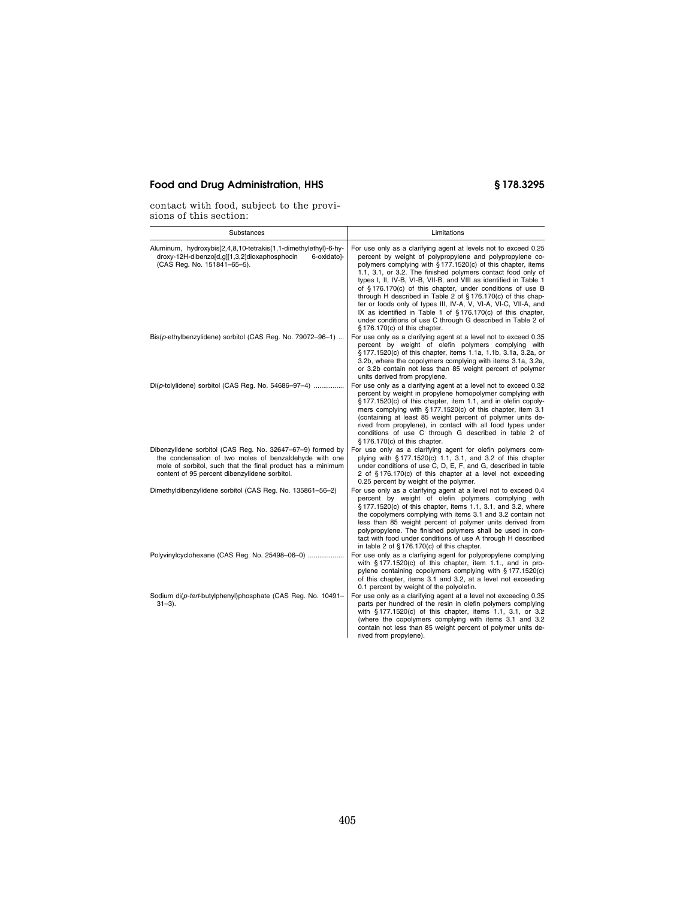# **Food and Drug Administration, HHS § 178.3295**

contact with food, subject to the provisions of this section:

| Substances                                                                                                                                                                                                                           | Limitations                                                                                                                                                                                                                                                                                                                                                                                                                                                                                                                                                                                                                                                                                          |
|--------------------------------------------------------------------------------------------------------------------------------------------------------------------------------------------------------------------------------------|------------------------------------------------------------------------------------------------------------------------------------------------------------------------------------------------------------------------------------------------------------------------------------------------------------------------------------------------------------------------------------------------------------------------------------------------------------------------------------------------------------------------------------------------------------------------------------------------------------------------------------------------------------------------------------------------------|
| Aluminum, hydroxybis[2,4,8,10-tetrakis(1,1-dimethylethyl)-6-hy-<br>droxy-12H-dibenzo[d,g][1,3,2]dioxaphosphocin<br>6-oxidatol-<br>(CAS Reg. No. 151841-65-5).                                                                        | For use only as a clarifying agent at levels not to exceed 0.25<br>percent by weight of polypropylene and polypropylene co-<br>polymers complying with §177.1520(c) of this chapter, items<br>1.1, 3.1, or 3.2. The finished polymers contact food only of<br>types I, II, IV-B, VI-B, VII-B, and VIII as identified in Table 1<br>of §176.170(c) of this chapter, under conditions of use B<br>through H described in Table 2 of $\S 176.170(c)$ of this chap-<br>ter or foods only of types III, IV-A, V, VI-A, VI-C, VII-A, and<br>IX as identified in Table 1 of $\S 176.170(c)$ of this chapter,<br>under conditions of use C through G described in Table 2 of<br>§176.170(c) of this chapter. |
| Bis(p-ethylbenzylidene) sorbitol (CAS Reg. No. 79072-96-1)                                                                                                                                                                           | For use only as a clarifying agent at a level not to exceed 0.35<br>percent by weight of olefin polymers complying with<br>§ 177.1520(c) of this chapter, items 1.1a, 1.1b, 3.1a, 3.2a, or<br>3.2b, where the copolymers complying with items 3.1a, 3.2a,<br>or 3.2b contain not less than 85 weight percent of polymer<br>units derived from propylene.                                                                                                                                                                                                                                                                                                                                             |
| $Di(\rho$ -tolylidene) sorbitol (CAS Reg. No. 54686-97-4)                                                                                                                                                                            | For use only as a clarifying agent at a level not to exceed 0.32<br>percent by weight in propylene homopolymer complying with<br>§177.1520(c) of this chapter, item 1.1, and in olefin copoly-<br>mers complying with $\S 177.1520(c)$ of this chapter, item 3.1<br>(containing at least 85 weight percent of polymer units de-<br>rived from propylene), in contact with all food types under<br>conditions of use C through G described in table 2 of<br>§ 176.170(c) of this chapter.                                                                                                                                                                                                             |
| Dibenzylidene sorbitol (CAS Reg. No. 32647-67-9) formed by<br>the condensation of two moles of benzaldehyde with one<br>mole of sorbitol, such that the final product has a minimum<br>content of 95 percent dibenzylidene sorbitol. | For use only as a clarifying agent for olefin polymers com-<br>plying with §177.1520(c) 1.1, 3.1, and 3.2 of this chapter<br>under conditions of use C, D, E, F, and G, described in table<br>2 of §176.170(c) of this chapter at a level not exceeding<br>0.25 percent by weight of the polymer.                                                                                                                                                                                                                                                                                                                                                                                                    |
| Dimethyldibenzylidene sorbitol (CAS Reg. No. 135861-56-2)                                                                                                                                                                            | For use only as a clarifying agent at a level not to exceed 0.4<br>percent by weight of olefin polymers complying with<br>§ 177.1520(c) of this chapter, items 1.1, 3.1, and 3.2, where<br>the copolymers complying with items 3.1 and 3.2 contain not<br>less than 85 weight percent of polymer units derived from<br>polypropylene. The finished polymers shall be used in con-<br>tact with food under conditions of use A through H described<br>in table 2 of $\S 176.170(c)$ of this chapter.                                                                                                                                                                                                  |
| Polyvinylcyclohexane (CAS Reg. No. 25498-06-0)                                                                                                                                                                                       | For use only as a clarfiying agent for polypropylene complying<br>with $\S$ 177.1520(c) of this chapter, item 1.1., and in pro-<br>pylene containing copolymers complying with §177.1520(c)<br>of this chapter, items 3.1 and 3.2, at a level not exceeding<br>0.1 percent by weight of the polyolefin.                                                                                                                                                                                                                                                                                                                                                                                              |
| Sodium di(p-tert-butylphenyl)phosphate (CAS Reg. No. 10491-<br>$31 - 3$ ).                                                                                                                                                           | For use only as a clarifying agent at a level not exceeding 0.35<br>parts per hundred of the resin in olefin polymers complying<br>with §177.1520(c) of this chapter, items 1.1, 3.1, or 3.2<br>(where the copolymers complying with items 3.1 and 3.2<br>contain not less than 85 weight percent of polymer units de-<br>rived from propylene).                                                                                                                                                                                                                                                                                                                                                     |